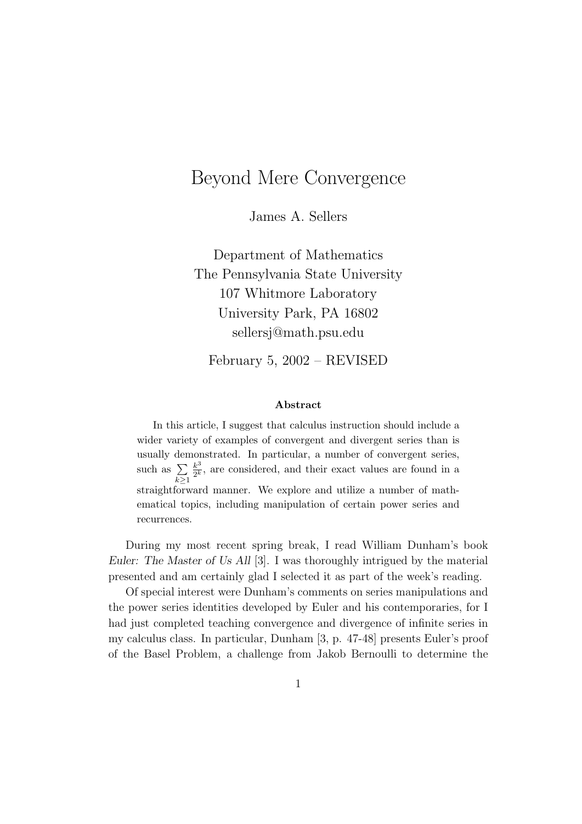## Beyond Mere Convergence

James A. Sellers

Department of Mathematics The Pennsylvania State University 107 Whitmore Laboratory University Park, PA 16802 sellersj@math.psu.edu

February 5, 2002 – REVISED

## Abstract

In this article, I suggest that calculus instruction should include a wider variety of examples of convergent and divergent series than is usually demonstrated. In particular, a number of convergent series, such as  $\Sigma$  $k \geq 1$  $k^3$  $\frac{k^3}{2^k}$ , are considered, and their exact values are found in a straightforward manner. We explore and utilize a number of mathematical topics, including manipulation of certain power series and recurrences.

During my most recent spring break, I read William Dunham's book Euler: The Master of Us All [3]. I was thoroughly intrigued by the material presented and am certainly glad I selected it as part of the week's reading.

Of special interest were Dunham's comments on series manipulations and the power series identities developed by Euler and his contemporaries, for I had just completed teaching convergence and divergence of infinite series in my calculus class. In particular, Dunham [3, p. 47-48] presents Euler's proof of the Basel Problem, a challenge from Jakob Bernoulli to determine the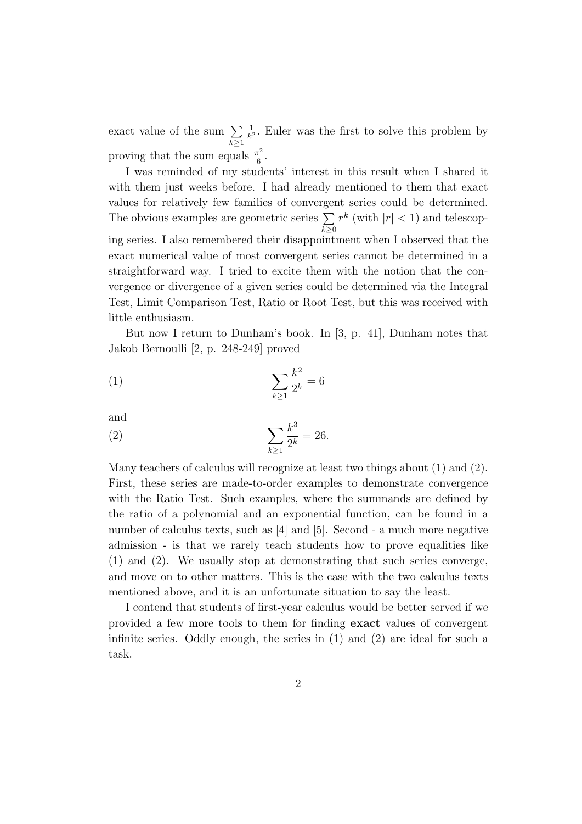exact value of the sum  $\Sigma$  $k\geq 1$ 1  $\frac{1}{k^2}$ . Euler was the first to solve this problem by proving that the sum equals  $\frac{\pi^2}{6}$  $\frac{\tau^2}{6}$ .

I was reminded of my students' interest in this result when I shared it with them just weeks before. I had already mentioned to them that exact values for relatively few families of convergent series could be determined. The obvious examples are geometric series  $\Sigma$  $k\geq 0$  $r^k$  (with  $|r| < 1$ ) and telescoping series. I also remembered their disappointment when I observed that the exact numerical value of most convergent series cannot be determined in a straightforward way. I tried to excite them with the notion that the convergence or divergence of a given series could be determined via the Integral Test, Limit Comparison Test, Ratio or Root Test, but this was received with little enthusiasm.

But now I return to Dunham's book. In [3, p. 41], Dunham notes that Jakob Bernoulli [2, p. 248-249] proved

(1) 
$$
\sum_{k\geq 1} \frac{k^2}{2^k} = 6
$$

and

(2) 
$$
\sum_{k\geq 1} \frac{k^3}{2^k} = 26.
$$

Many teachers of calculus will recognize at least two things about (1) and (2). First, these series are made-to-order examples to demonstrate convergence with the Ratio Test. Such examples, where the summands are defined by the ratio of a polynomial and an exponential function, can be found in a number of calculus texts, such as [4] and [5]. Second - a much more negative admission - is that we rarely teach students how to prove equalities like (1) and (2). We usually stop at demonstrating that such series converge, and move on to other matters. This is the case with the two calculus texts mentioned above, and it is an unfortunate situation to say the least.

I contend that students of first-year calculus would be better served if we provided a few more tools to them for finding exact values of convergent infinite series. Oddly enough, the series in (1) and (2) are ideal for such a task.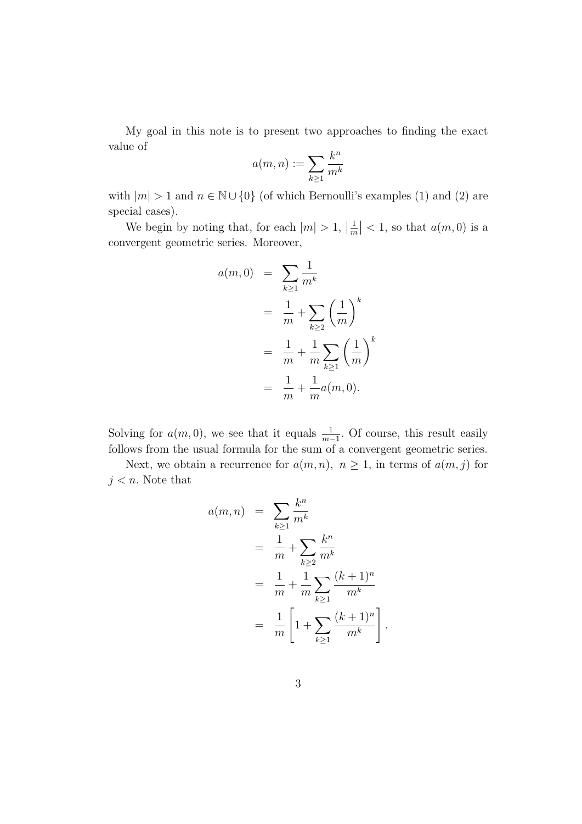My goal in this note is to present two approaches to finding the exact value of

$$
a(m,n):=\sum_{k\geq 1}\frac{k^n}{m^k}
$$

with  $|m| > 1$  and  $n \in \mathbb{N} \cup \{0\}$  (of which Bernoulli's examples (1) and (2) are special cases).

We begin by noting that, for each  $|m| > 1$ ,  $\left|\frac{1}{m}\right|$  $\left|\frac{1}{m}\right|$  < 1, so that  $a(m,0)$  is a convergent geometric series. Moreover,

$$
a(m, 0) = \sum_{k \ge 1} \frac{1}{m^k}
$$
  
=  $\frac{1}{m} + \sum_{k \ge 2} \left(\frac{1}{m}\right)^k$   
=  $\frac{1}{m} + \frac{1}{m} \sum_{k \ge 1} \left(\frac{1}{m}\right)^k$   
=  $\frac{1}{m} + \frac{1}{m} a(m, 0).$ 

Solving for  $a(m, 0)$ , we see that it equals  $\frac{1}{m-1}$ . Of course, this result easily follows from the usual formula for the sum of a convergent geometric series.

Next, we obtain a recurrence for  $a(m, n)$ ,  $n \geq 1$ , in terms of  $a(m, j)$  for  $j < n$ . Note that

$$
a(m, n) = \sum_{k \ge 1} \frac{k^n}{m^k}
$$
  
=  $\frac{1}{m} + \sum_{k \ge 2} \frac{k^n}{m^k}$   
=  $\frac{1}{m} + \frac{1}{m} \sum_{k \ge 1} \frac{(k+1)^n}{m^k}$   
=  $\frac{1}{m} \left[ 1 + \sum_{k \ge 1} \frac{(k+1)^n}{m^k} \right]$ 

.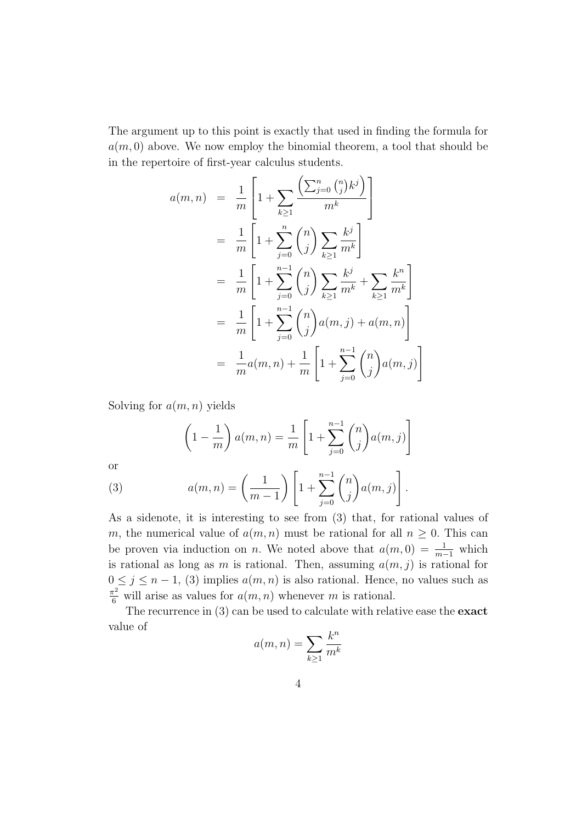The argument up to this point is exactly that used in finding the formula for  $a(m, 0)$  above. We now employ the binomial theorem, a tool that should be in the repertoire of first-year calculus students.

$$
a(m, n) = \frac{1}{m} \left[ 1 + \sum_{k \ge 1} \frac{\left( \sum_{j=0}^{n} {n \choose j} k^{j} \right)}{m^{k}} \right]
$$
  
\n
$$
= \frac{1}{m} \left[ 1 + \sum_{j=0}^{n} {n \choose j} \sum_{k \ge 1} \frac{k^{j}}{m^{k}} \right]
$$
  
\n
$$
= \frac{1}{m} \left[ 1 + \sum_{j=0}^{n-1} {n \choose j} \sum_{k \ge 1} \frac{k^{j}}{m^{k}} + \sum_{k \ge 1} \frac{k^{n}}{m^{k}} \right]
$$
  
\n
$$
= \frac{1}{m} \left[ 1 + \sum_{j=0}^{n-1} {n \choose j} a(m, j) + a(m, n) \right]
$$
  
\n
$$
= \frac{1}{m} a(m, n) + \frac{1}{m} \left[ 1 + \sum_{j=0}^{n-1} {n \choose j} a(m, j) \right]
$$

Solving for  $a(m, n)$  yields

$$
\left(1 - \frac{1}{m}\right) a(m, n) = \frac{1}{m} \left[1 + \sum_{j=0}^{n-1} {n \choose j} a(m, j)\right]
$$

or

(3) 
$$
a(m, n) = \left(\frac{1}{m-1}\right) \left[1 + \sum_{j=0}^{n-1} {n \choose j} a(m, j)\right].
$$

As a sidenote, it is interesting to see from (3) that, for rational values of m, the numerical value of  $a(m, n)$  must be rational for all  $n \geq 0$ . This can be proven via induction on *n*. We noted above that  $a(m, 0) = \frac{1}{m-1}$  which is rational as long as m is rational. Then, assuming  $a(m, j)$  is rational for  $0 \leq j \leq n-1$ , (3) implies  $a(m, n)$  is also rational. Hence, no values such as  $\frac{\pi^2}{6}$  will arise as values for  $a(m, n)$  whenever m is rational.

The recurrence in (3) can be used to calculate with relative ease the exact value of

$$
a(m,n) = \sum_{k \ge 1} \frac{k^n}{m^k}
$$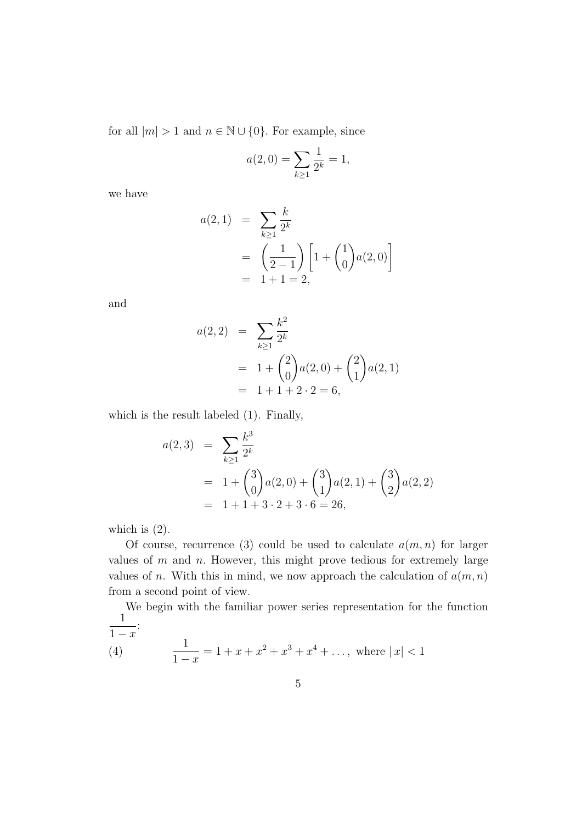for all  $|m| > 1$  and  $n \in \mathbb{N} \cup \{0\}$ . For example, since

$$
a(2,0) = \sum_{k \ge 1} \frac{1}{2^k} = 1,
$$

we have

$$
a(2,1) = \sum_{k\geq 1} \frac{k}{2^k}
$$
  
=  $\left(\frac{1}{2-1}\right) \left[1 + {1 \choose 0} a(2,0)\right]$   
= 1 + 1 = 2,

and

$$
a(2,2) = \sum_{k\geq 1} \frac{k^2}{2^k}
$$
  
= 1 +  $\binom{2}{0}$  a(2,0) +  $\binom{2}{1}$  a(2,1)  
= 1 + 1 + 2 \cdot 2 = 6,

which is the result labeled (1). Finally,

$$
a(2,3) = \sum_{k\geq 1} \frac{k^3}{2^k}
$$
  
= 1 + {3 \choose 0} a(2,0) + {3 \choose 1} a(2,1) + {3 \choose 2} a(2,2)  
= 1 + 1 + 3 \cdot 2 + 3 \cdot 6 = 26,

which is  $(2)$ .

Of course, recurrence (3) could be used to calculate  $a(m, n)$  for larger values of  $m$  and  $n$ . However, this might prove tedious for extremely large values of n. With this in mind, we now approach the calculation of  $a(m, n)$ from a second point of view.

We begin with the familiar power series representation for the function 1  $1 - x$ :  $\overline{1}$ 

(4) 
$$
\frac{1}{1-x} = 1 + x + x^2 + x^3 + x^4 + \dots, \text{ where } |x| < 1
$$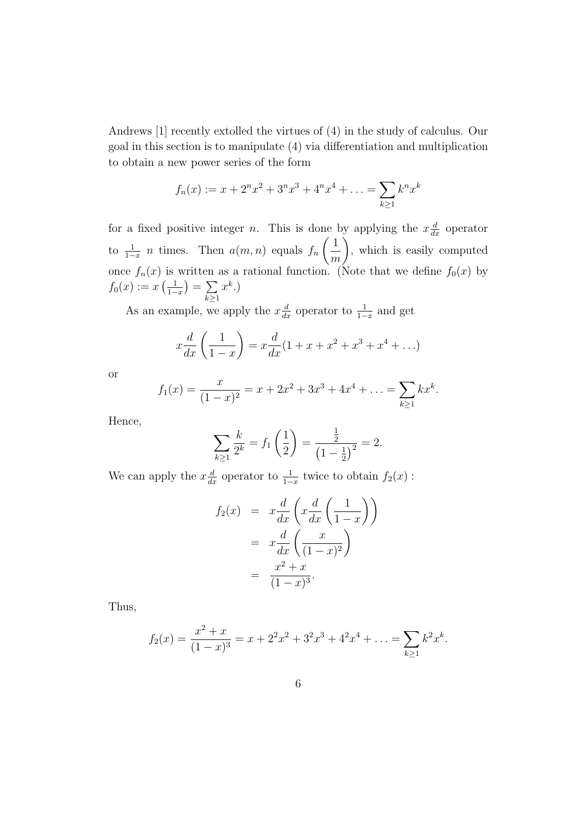Andrews [1] recently extolled the virtues of (4) in the study of calculus. Our goal in this section is to manipulate (4) via differentiation and multiplication to obtain a new power series of the form

$$
f_n(x) := x + 2^n x^2 + 3^n x^3 + 4^n x^4 + \ldots = \sum_{k \ge 1} k^n x^k
$$

for a fixed positive integer *n*. This is done by applying the  $x \frac{d}{dx}$  operator to  $\frac{1}{1-x}$  *n* times. Then  $a(m, n)$  equals  $f_n$  $\sqrt{1}$ m  $\setminus$ , which is easily computed once  $f_n(x)$  is written as a rational function. (Note that we define  $f_0(x)$  by  $f_0(x) := x\left(\frac{1}{1-x}\right)$  $\frac{1}{1-x}$ ) =  $\sum$  $k\succeq1$  $x^k$ .)

As an example, we apply the  $x \frac{d}{dx}$  operator to  $\frac{1}{1-x}$  and get

$$
x\frac{d}{dx}\left(\frac{1}{1-x}\right) = x\frac{d}{dx}(1+x+x^2+x^3+x^4+\ldots)
$$

or

$$
f_1(x) = \frac{x}{(1-x)^2} = x + 2x^2 + 3x^3 + 4x^4 + \ldots = \sum_{k \ge 1} kx^k.
$$

Hence,

$$
\sum_{k\geq 1} \frac{k}{2^k} = f_1\left(\frac{1}{2}\right) = \frac{\frac{1}{2}}{\left(1 - \frac{1}{2}\right)^2} = 2.
$$

We can apply the  $x \frac{d}{dx}$  operator to  $\frac{1}{1-x}$  twice to obtain  $f_2(x)$ :

$$
f_2(x) = x \frac{d}{dx} \left( x \frac{d}{dx} \left( \frac{1}{1-x} \right) \right)
$$
  
=  $x \frac{d}{dx} \left( \frac{x}{(1-x)^2} \right)$   
=  $\frac{x^2 + x}{(1-x)^3}$ .

Thus,

$$
f_2(x) = \frac{x^2 + x}{(1 - x)^3} = x + 2^2 x^2 + 3^2 x^3 + 4^2 x^4 + \dots = \sum_{k \ge 1} k^2 x^k.
$$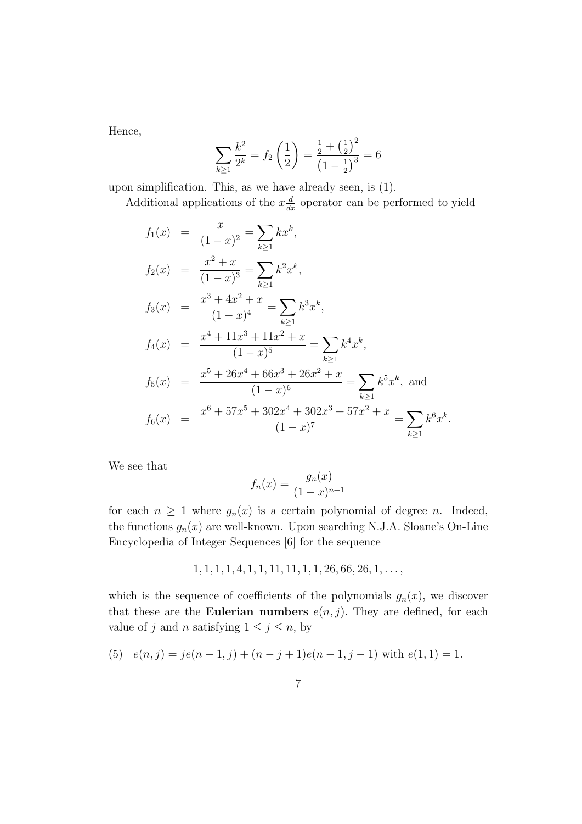Hence,

$$
\sum_{k\geq 1} \frac{k^2}{2^k} = f_2\left(\frac{1}{2}\right) = \frac{\frac{1}{2} + \left(\frac{1}{2}\right)^2}{\left(1 - \frac{1}{2}\right)^3} = 6
$$

upon simplification. This, as we have already seen, is (1).

Additional applications of the  $x\frac{d}{dx}$  operator can be performed to yield

$$
f_1(x) = \frac{x}{(1-x)^2} = \sum_{k\geq 1} kx^k,
$$
  
\n
$$
f_2(x) = \frac{x^2 + x}{(1-x)^3} = \sum_{k\geq 1} k^2 x^k,
$$
  
\n
$$
f_3(x) = \frac{x^3 + 4x^2 + x}{(1-x)^4} = \sum_{k\geq 1} k^3 x^k,
$$
  
\n
$$
f_4(x) = \frac{x^4 + 11x^3 + 11x^2 + x}{(1-x)^5} = \sum_{k\geq 1} k^4 x^k,
$$
  
\n
$$
f_5(x) = \frac{x^5 + 26x^4 + 66x^3 + 26x^2 + x}{(1-x)^6} = \sum_{k\geq 1} k^5 x^k,
$$
 and  
\n
$$
f_6(x) = \frac{x^6 + 57x^5 + 302x^4 + 302x^3 + 57x^2 + x}{(1-x)^7} = \sum_{k\geq 1} k^6 x^k.
$$

We see that

$$
f_n(x) = \frac{g_n(x)}{(1-x)^{n+1}}
$$

for each  $n \geq 1$  where  $g_n(x)$  is a certain polynomial of degree n. Indeed, the functions  $g_n(x)$  are well-known. Upon searching N.J.A. Sloane's On-Line Encyclopedia of Integer Sequences [6] for the sequence

$$
1, 1, 1, 1, 4, 1, 1, 11, 11, 1, 1, 26, 66, 26, 1, \ldots,
$$

which is the sequence of coefficients of the polynomials  $g_n(x)$ , we discover that these are the **Eulerian numbers**  $e(n, j)$ . They are defined, for each value of j and n satisfying  $1 \le j \le n$ , by

(5) 
$$
e(n, j) = je(n-1, j) + (n - j + 1)e(n - 1, j - 1)
$$
 with  $e(1, 1) = 1$ .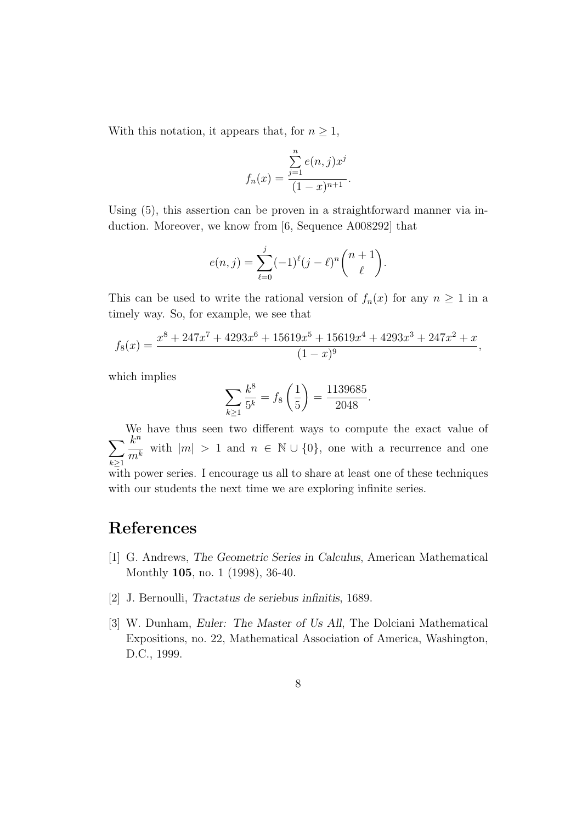With this notation, it appears that, for  $n \geq 1$ ,

$$
f_n(x) = \frac{\sum_{j=1}^n e(n,j)x^j}{(1-x)^{n+1}}.
$$

Using  $(5)$ , this assertion can be proven in a straightforward manner via induction. Moreover, we know from [6, Sequence A008292] that

$$
e(n,j) = \sum_{\ell=0}^{j} (-1)^{\ell} (j-\ell)^n {n+1 \choose \ell}.
$$

This can be used to write the rational version of  $f_n(x)$  for any  $n \geq 1$  in a timely way. So, for example, we see that

$$
f_8(x) = \frac{x^8 + 247x^7 + 4293x^6 + 15619x^5 + 15619x^4 + 4293x^3 + 247x^2 + x}{(1-x)^9},
$$

which implies

$$
\sum_{k\geq 1} \frac{k^8}{5^k} = f_8\left(\frac{1}{5}\right) = \frac{1139685}{2048}.
$$

 $\sum$ We have thus seen two different ways to compute the exact value of  $k\geq 1$  $k^n$  $m^k$ with  $|m| > 1$  and  $n \in \mathbb{N} \cup \{0\}$ , one with a recurrence and one with power series. I encourage us all to share at least one of these techniques with our students the next time we are exploring infinite series.

## References

- [1] G. Andrews, The Geometric Series in Calculus, American Mathematical Monthly 105, no. 1 (1998), 36-40.
- [2] J. Bernoulli, Tractatus de seriebus infinitis, 1689.
- [3] W. Dunham, Euler: The Master of Us All, The Dolciani Mathematical Expositions, no. 22, Mathematical Association of America, Washington, D.C., 1999.